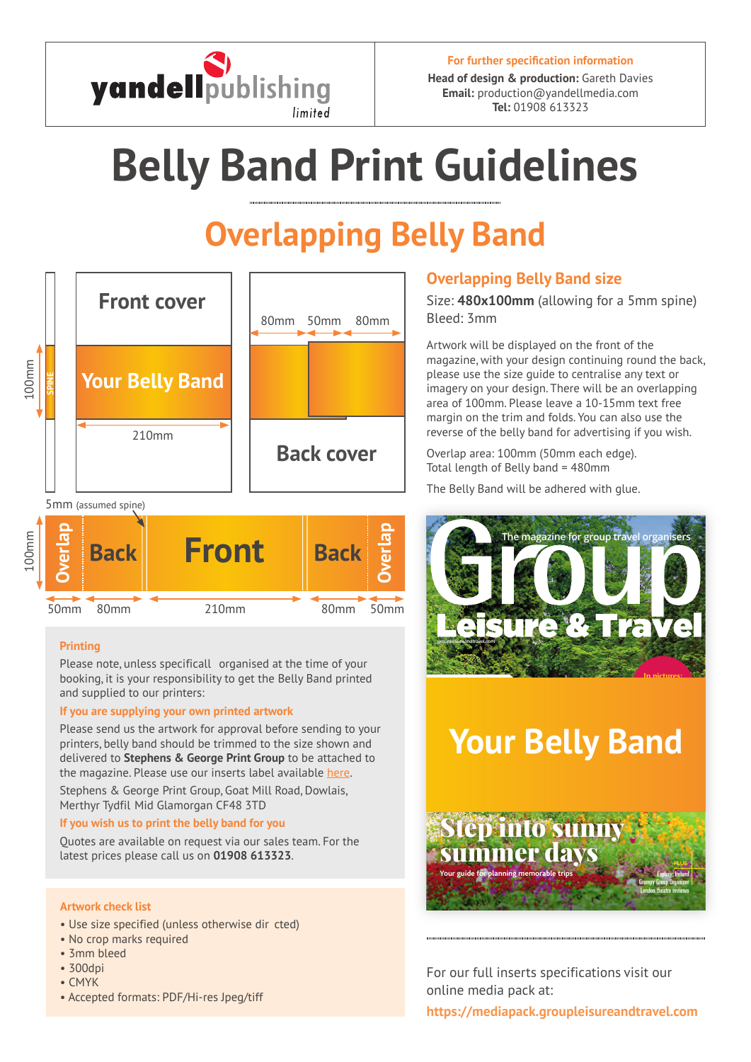

**Head of design & production:** Gareth Davies **Email:** production@yandellmedia.com **Tel:** 01908 613323

# **Belly Band Print Guidelines**

# **Overlapping Belly Band**



**SPINE Front cover Back Front** 210mm 100mm 80mm 80mm 50mm 50mm **Overlap Overlap Back**

### **Printing**

Please note, unless specificall organised at the time of your booking, it is your responsibility to get the Belly Band printed and supplied to our printers:

### **If you are supplying your own printed artwork**

Please send us the artwork for approval before sending to your printers, belly band should be trimmed to the size shown and delivered to **Stephens & George Print Group** to be attached to the magazine. Please use our inserts label availabl[e here.](https://mediapack.groupleisureandtravel.com/wp-content/uploads/2017/04/YMG-Insert-Specifications-MPC.pdf#page=3)

Stephens & George Print Group, Goat Mill Road, Dowlais, Merthyr Tydfil Mid Glamorgan CF48 3TD

### **If you wish us to print the belly band for you**

Quotes are available on request via our sales team. For the latest prices please call us on **01908 613323**.

### **Artwork check list**

- Use size specified (unless otherwise dir cted)
- No crop marks required
- 3mm bleed
- 300dpi
- CMYK
- Accepted formats: PDF/Hi-res Jpeg/tiff

### **Overlapping Belly Band size**

Size: **480x100mm** (allowing for a 5mm spine) Bleed: 3mm

Artwork will be displayed on the front of the magazine, with your design continuing round the back, please use the size guide to centralise any text or imagery on your design. There will be an overlapping area of 100mm. Please leave a 10-15mm text free margin on the trim and folds. You can also use the reverse of the belly band for advertising if you wish.

Overlap area: 100mm (50mm each edge). Total length of Belly band = 480mm

The Belly Band will be adhered with glue.



## **Your Belly Band**



For our full inserts specifications visit our online media pack at: **https://mediapack.groupleisureandtravel.com**